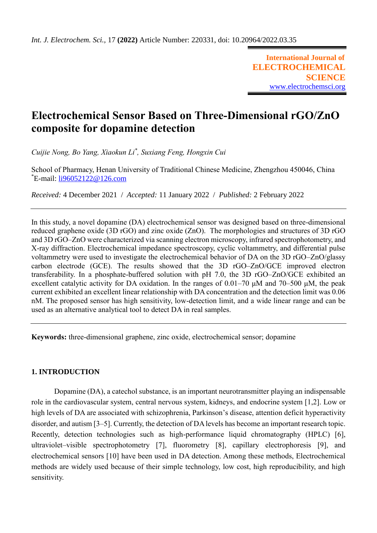**International Journal of ELECTROCHEMICAL SCIENCE** [www.electrochemsci.org](http://www.electrochemsci.org/)

# **Electrochemical Sensor Based on Three-Dimensional rGO/ZnO composite for dopamine detection**

*Cuijie Nong, Bo Yang, Xiaokun Li\* , Suxiang Feng, Hongxin Cui*

School of Pharmacy, Henan University of Traditional Chinese Medicine, Zhengzhou 450046, China \*E-mail: [li96052122@126.com](mailto:li96052122@126.com)

*Received:* 4 December 2021/ *Accepted:* 11 January 2022 / *Published:* 2 February 2022

In this study, a novel dopamine (DA) electrochemical sensor was designed based on three-dimensional reduced graphene oxide (3D rGO) and zinc oxide (ZnO). The morphologies and structures of 3D rGO and 3D rGO–ZnO were characterized via scanning electron microscopy, infrared spectrophotometry, and X-ray diffraction. Electrochemical impedance spectroscopy, cyclic voltammetry, and differential pulse voltammetry were used to investigate the electrochemical behavior of DA on the 3D rGO–ZnO/glassy carbon electrode (GCE). The results showed that the 3D rGO–ZnO/GCE improved electron transferability. In a phosphate-buffered solution with pH 7.0, the 3D rGO–ZnO/GCE exhibited an excellent catalytic activity for DA oxidation. In the ranges of  $0.01-70 \mu M$  and  $70-500 \mu M$ , the peak current exhibited an excellent linear relationship with DA concentration and the detection limit was 0.06 nM. The proposed sensor has high sensitivity, low-detection limit, and a wide linear range and can be used as an alternative analytical tool to detect DA in real samples.

**Keywords:** three-dimensional graphene, zinc oxide, electrochemical sensor; dopamine

# **1. INTRODUCTION**

Dopamine (DA), a catechol substance, is an important neurotransmitter playing an indispensable role in the cardiovascular system, central nervous system, kidneys, and endocrine system [1,2]. Low or high levels of DA are associated with schizophrenia, Parkinson's disease, attention deficit hyperactivity disorder, and autism [3–5]. Currently, the detection of DA levels has become an important research topic. Recently, detection technologies such as high-performance liquid chromatography (HPLC) [6], ultraviolet–visible spectrophotometry [7], fluorometry [8], capillary electrophoresis [9], and electrochemical sensors [10] have been used in DA detection. Among these methods, Electrochemical methods are widely used because of their simple technology, low cost, high reproducibility, and high sensitivity.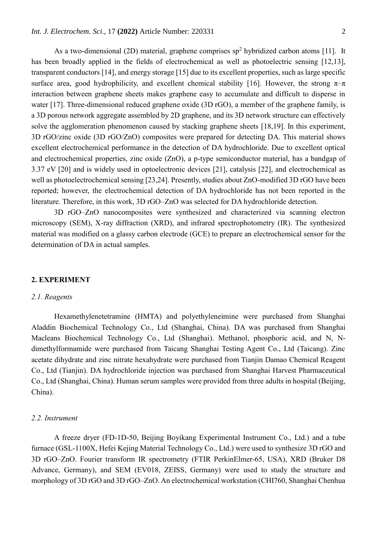As a two-dimensional (2D) material, graphene comprises  $sp<sup>2</sup>$  hybridized carbon atoms [11]. It has been broadly applied in the fields of electrochemical as well as photoelectric sensing [12,13], transparent conductors [14], and energy storage [15] due to its excellent properties, such as large specific surface area, good hydrophilicity, and excellent chemical stability [16]. However, the strong  $\pi-\pi$ interaction between graphene sheets makes graphene easy to accumulate and difficult to disperse in water [17]. Three-dimensional reduced graphene oxide (3D rGO), a member of the graphene family, is a 3D porous network aggregate assembled by 2D graphene, and its 3D network structure can effectively solve the agglomeration phenomenon caused by stacking graphene sheets [18,19]. In this experiment, 3D rGO/zinc oxide (3D rGO/ZnO) composites were prepared for detecting DA. This material shows excellent electrochemical performance in the detection of DA hydrochloride. Due to excellent optical and electrochemical properties, zinc oxide (ZnO), a p-type semiconductor material, has a bandgap of 3.37 eV [20] and is widely used in optoelectronic devices [21], catalysis [22], and electrochemical as well as photoelectrochemical sensing [23,24]. Presently, studies about ZnO-modified 3D rGO have been reported; however, the electrochemical detection of DA hydrochloride has not been reported in the literature. Therefore, in this work, 3D rGO–ZnO was selected for DA hydrochloride detection.

3D rGO–ZnO nanocomposites were synthesized and characterized via scanning electron microscopy (SEM), X-ray diffraction (XRD), and infrared spectrophotometry (IR). The synthesized material was modified on a glassy carbon electrode (GCE) to prepare an electrochemical sensor for the determination of DA in actual samples.

# **2. EXPERIMENT**

# *2.1. Reagents*

Hexamethylenetetramine (HMTA) and polyethyleneimine were purchased from Shanghai Aladdin Biochemical Technology Co., Ltd (Shanghai, China). DA was purchased from Shanghai Macleans Biochemical Technology Co., Ltd (Shanghai). Methanol, phosphoric acid, and N, Ndimethylformamide were purchased from Taicang Shanghai Testing Agent Co., Ltd (Taicang). Zinc acetate dihydrate and zinc nitrate hexahydrate were purchased from Tianjin Damao Chemical Reagent Co., Ltd (Tianjin). DA hydrochloride injection was purchased from Shanghai Harvest Pharmaceutical Co., Ltd (Shanghai, China). Human serum samples were provided from three adults in hospital (Beijing, China).

#### *2.2. Instrument*

A freeze dryer (FD-1D-50, Beijing Boyikang Experimental Instrument Co., Ltd.) and a tube furnace (GSL-1100X, Hefei Kejing Material Technology Co., Ltd.) were used to synthesize 3D rGO and 3D rGO–ZnO. Fourier transform IR spectrometry (FTIR PerkinElmer-65, USA), XRD (Bruker D8 Advance, Germany), and SEM (EV018, ZEISS, Germany) were used to study the structure and morphology of 3D rGO and 3D rGO–ZnO. An electrochemical workstation (CHI760, Shanghai Chenhua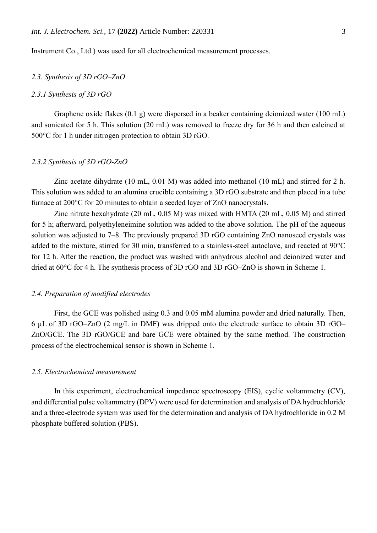Instrument Co., Ltd.) was used for all electrochemical measurement processes.

# *2.3. Synthesis of 3D rGO–ZnO*

# *2.3.1 Synthesis of 3D rGO*

Graphene oxide flakes (0.1 g) were dispersed in a beaker containing deionized water (100 mL) and sonicated for 5 h. This solution (20 mL) was removed to freeze dry for 36 h and then calcined at 500°C for 1 h under nitrogen protection to obtain 3D rGO.

#### *2.3.2 Synthesis of 3D rGO-ZnO*

Zinc acetate dihydrate (10 mL, 0.01 M) was added into methanol (10 mL) and stirred for 2 h. This solution was added to an alumina crucible containing a 3D rGO substrate and then placed in a tube furnace at 200°C for 20 minutes to obtain a seeded layer of ZnO nanocrystals.

Zinc nitrate hexahydrate (20 mL, 0.05 M) was mixed with HMTA (20 mL, 0.05 M) and stirred for 5 h; afterward, polyethyleneimine solution was added to the above solution. The pH of the aqueous solution was adjusted to 7–8. The previously prepared 3D rGO containing ZnO nanoseed crystals was added to the mixture, stirred for 30 min, transferred to a stainless-steel autoclave, and reacted at 90°C for 12 h. After the reaction, the product was washed with anhydrous alcohol and deionized water and dried at 60°C for 4 h. The synthesis process of 3D rGO and 3D rGO–ZnO is shown in Scheme 1.

#### *2.4. Preparation of modified electrodes*

First, the GCE was polished using 0.3 and 0.05 mM alumina powder and dried naturally. Then, 6 μL of 3D rGO–ZnO (2 mg/L in DMF) was dripped onto the electrode surface to obtain 3D rGO– ZnO/GCE. The 3D rGO/GCE and bare GCE were obtained by the same method. The construction process of the electrochemical sensor is shown in Scheme 1.

#### *2.5. Electrochemical measurement*

In this experiment, electrochemical impedance spectroscopy (EIS), cyclic voltammetry (CV), and differential pulse voltammetry (DPV) were used for determination and analysis of DA hydrochloride and a three-electrode system was used for the determination and analysis of DA hydrochloride in 0.2 M phosphate buffered solution (PBS).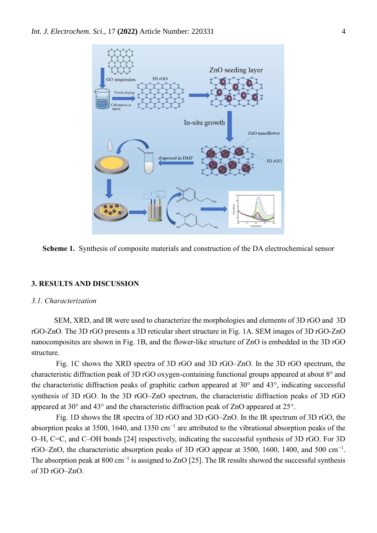

**Scheme 1.** Synthesis of composite materials and construction of the DA electrochemical sensor

# **3. RESULTS AND DISCUSSION**

#### *3.1. Characterization*

SEM, XRD, and IR were used to characterize the morphologies and elements of 3D rGO and 3D rGO-ZnO. The 3D rGO presents a 3D reticular sheet structure in Fig. 1A. SEM images of 3D rGO-ZnO nanocomposites are shown in Fig. 1B, and the flower-like structure of ZnO is embedded in the 3D rGO structure.

Fig. 1C shows the XRD spectra of 3D rGO and 3D rGO–ZnO. In the 3D rGO spectrum, the characteristic diffraction peak of 3D rGO oxygen-containing functional groups appeared at about 8° and the characteristic diffraction peaks of graphitic carbon appeared at 30° and 43°, indicating successful synthesis of 3D rGO. In the 3D rGO–ZnO spectrum, the characteristic diffraction peaks of 3D rGO appeared at 30° and 43° and the characteristic diffraction peak of ZnO appeared at 25°.

Fig. 1D shows the IR spectra of 3D rGO and 3D rGO–ZnO. In the IR spectrum of 3D rGO, the absorption peaks at 3500, 1640, and 1350 cm<sup>-1</sup> are attributed to the vibrational absorption peaks of the O–H, C=C, and C–OH bonds [24] respectively, indicating the successful synthesis of 3D rGO. For 3D rGO–ZnO, the characteristic absorption peaks of 3D rGO appear at 3500, 1600, 1400, and 500 cm<sup>-1</sup>. The absorption peak at 800 cm<sup>-1</sup> is assigned to ZnO [25]. The IR results showed the successful synthesis of 3D rGO–ZnO.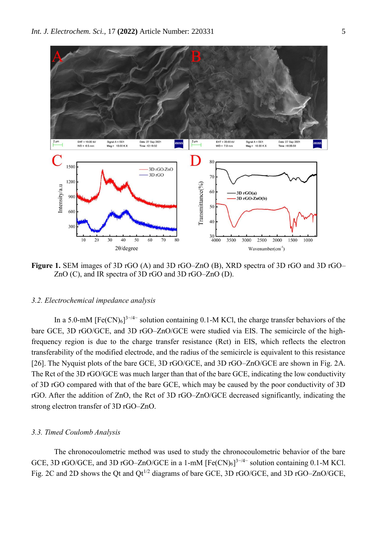

Figure 1. SEM images of 3D rGO (A) and 3D rGO–ZnO (B), XRD spectra of 3D rGO and 3D rGO– ZnO (C), and IR spectra of 3D rGO and 3D rGO–ZnO (D).

#### *3.2. Electrochemical impedance analysis*

In a 5.0-mM  $[Fe(CN)_6]^{3-4-}$  solution containing 0.1-M KCl, the charge transfer behaviors of the bare GCE, 3D rGO/GCE, and 3D rGO–ZnO/GCE were studied via EIS. The semicircle of the highfrequency region is due to the charge transfer resistance (Rct) in EIS, which reflects the electron transferability of the modified electrode, and the radius of the semicircle is equivalent to this resistance [26]. The Nyquist plots of the bare GCE, 3D rGO/GCE, and 3D rGO–ZnO/GCE are shown in Fig. 2A. The Rct of the 3D rGO/GCE was much larger than that of the bare GCE, indicating the low conductivity of 3D rGO compared with that of the bare GCE, which may be caused by the poor conductivity of 3D rGO. After the addition of ZnO, the Rct of 3D rGO–ZnO/GCE decreased significantly, indicating the strong electron transfer of 3D rGO–ZnO.

# *3.3. Timed Coulomb Analysis*

The chronocoulometric method was used to study the chronocoulometric behavior of the bare GCE, 3D rGO/GCE, and 3D rGO–ZnO/GCE in a 1-mM  $[Fe(CN)_6]^{3-/4-}$  solution containing 0.1-M KCl. Fig. 2C and 2D shows the Qt and  $Qt^{1/2}$  diagrams of bare GCE, 3D rGO/GCE, and 3D rGO–ZnO/GCE,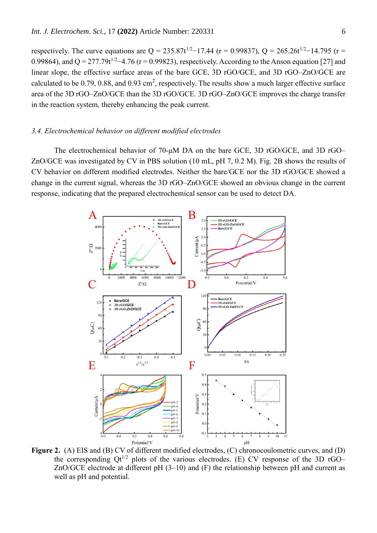respectively. The curve equations are Q = 235.87t<sup>1/2</sup>−17.44 (r = 0.99837), Q = 265.26t<sup>1/2</sup>−14.795 (r = 0.99864), and  $Q = 277.79t^{1/2} - 4.76$  (r = 0.99823), respectively. According to the Anson equation [27] and linear slope, the effective surface areas of the bare GCE, 3D rGO/GCE, and 3D rGO–ZnO/GCE are calculated to be  $0.79, 0.88$ , and  $0.93 \text{ cm}^2$ , respectively. The results show a much larger effective surface area of the 3D rGO–ZnO/GCE than the 3D rGO/GCE. 3D rGO–ZnO/GCE improves the charge transfer in the reaction system, thereby enhancing the peak current.

# *3.4. Electrochemical behavior on different modified electrodes*

The electrochemical behavior of 70-μM DA on the bare GCE, 3D rGO/GCE, and 3D rGO– ZnO/GCE was investigated by CV in PBS solution (10 mL, pH 7, 0.2 M). Fig. 2B shows the results of CV behavior on different modified electrodes. Neither the bare/GCE nor the 3D rGO/GCE showed a change in the current signal, whereas the 3D rGO–ZnO/GCE showed an obvious change in the current response, indicating that the prepared electrochemical sensor can be used to detect DA.



**Figure 2.** (A) EIS and (B) CV of different modified electrodes, (C) chronocoulometric curves, and (D) the corresponding  $Qt^{1/2}$  plots of the various electrodes. (E) CV response of the 3D rGO– ZnO/GCE electrode at different pH (3–10) and (F) the relationship between pH and current as well as pH and potential.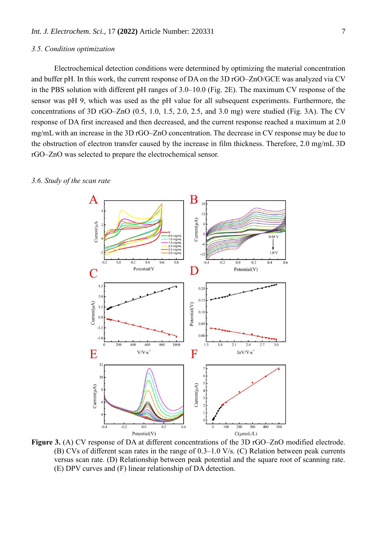## *3.5. Condition optimization*

Electrochemical detection conditions were determined by optimizing the material concentration and buffer pH. In this work, the current response of DA on the 3D rGO–ZnO/GCE was analyzed via CV in the PBS solution with different pH ranges of 3.0–10.0 (Fig. 2E). The maximum CV response of the sensor was pH 9, which was used as the pH value for all subsequent experiments. Furthermore, the concentrations of 3D rGO–ZnO (0.5, 1.0, 1.5, 2.0, 2.5, and 3.0 mg) were studied (Fig. 3A). The CV response of DA first increased and then decreased, and the current response reached a maximum at 2.0 mg/mL with an increase in the 3D rGO–ZnO concentration. The decrease in CV response may be due to the obstruction of electron transfer caused by the increase in film thickness. Therefore, 2.0 mg/mL 3D rGO–ZnO was selected to prepare the electrochemical sensor.



#### *3.6. Study of the scan rate*

**Figure 3.** (A) CV response of DA at different concentrations of the 3D rGO–ZnO modified electrode. (B) CVs of different scan rates in the range of 0.3–1.0 V/s. (C) Relation between peak currents versus scan rate. (D) Relationship between peak potential and the square root of scanning rate. (E) DPV curves and (F) linear relationship of DA detection.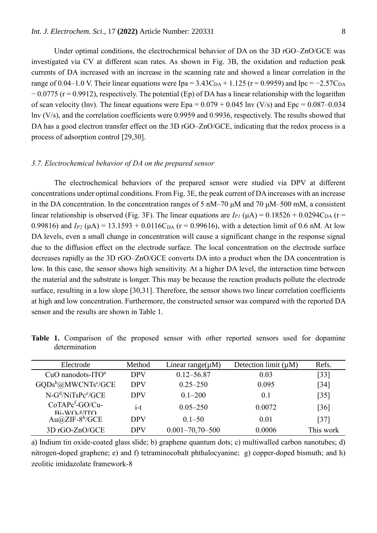Under optimal conditions, the electrochemical behavior of DA on the 3D rGO–ZnO/GCE was investigated via CV at different scan rates. As shown in Fig. 3B, the oxidation and reduction peak currents of DA increased with an increase in the scanning rate and showed a linear correlation in the range of 0.04–1.0 V. Their linear equations were Ipa =  $3.43C_{DA} + 1.125$  (r = 0.9959) and Ipc =  $-2.57C_{DA}$  $-0.0775$  (r = 0.9912), respectively. The potential (Ep) of DA has a linear relationship with the logarithm of scan velocity (lnv). The linear equations were  $Epa = 0.079 + 0.045$  lnv (V/s) and  $Epc = 0.087{\text -}0.034$ lnv (V/s), and the correlation coefficients were 0.9959 and 0.9936, respectively. The results showed that DA has a good electron transfer effect on the 3D rGO–ZnO/GCE, indicating that the redox process is a process of adsorption control [29,30].

# *3.7. Electrochemical behavior of DA on the prepared sensor*

The electrochemical behaviors of the prepared sensor were studied via DPV at different concentrations under optimal conditions. From Fig. 3E, the peak current of DA increases with an increase in the DA concentration. In the concentration ranges of 5 nM–70 μM and 70 μM–500 mM, a consistent linear relationship is observed (Fig. 3F). The linear equations are  $I_{PI}$  ( $\mu$ A) = 0.18526 + 0.0294C<sub>DA</sub> (r = 0.99816) and  $I_{P2}$  ( $\mu$ A) = 13.1593 + 0.0116C<sub>DA</sub> ( $r = 0.99616$ ), with a detection limit of 0.6 nM. At low DA levels, even a small change in concentration will cause a significant change in the response signal due to the diffusion effect on the electrode surface. The local concentration on the electrode surface decreases rapidly as the 3D rGO–ZnO/GCE converts DA into a product when the DA concentration is low. In this case, the sensor shows high sensitivity. At a higher DA level, the interaction time between the material and the substrate is longer. This may be because the reaction products pollute the electrode surface, resulting in a low slope [30,31]. Therefore, the sensor shows two linear correlation coefficients at high and low concentration. Furthermore, the constructed sensor was compared with the reported DA sensor and the results are shown in Table 1.

**Table 1.** Comparison of the proposed sensor with other reported sensors used for dopamine determination

| Electrode                                                              | Method     | Linear range( $\mu$ M) | Detection limit $(\mu M)$ | Refs.     |
|------------------------------------------------------------------------|------------|------------------------|---------------------------|-----------|
| $CuO$ nanodots-ITO <sup>a</sup>                                        | <b>DPV</b> | $0.12 - 56.87$         | 0.03                      | $[33]$    |
| GQDs <sup>b</sup> @MWCNTs <sup>c</sup> /GCE                            | <b>DPV</b> | $0.25 - 250$           | 0.095                     | $[34]$    |
| $N-Gd/NiTsPce/GCE$                                                     | <b>DPV</b> | $0.1 - 200$            | 0.1                       | $[35]$    |
| $CoTAPcf-GO/Cu-$<br>$\rm Ri\Delta W \Omega$ <sub>c</sub> g/IT $\Omega$ | $i$ -t     | $0.05 - 250$           | 0.0072                    | [36]      |
| Au@ZIF- $8^h$ /GCE                                                     | <b>DPV</b> | $0.1 - 50$             | 0.01                      | $[37]$    |
| 3D rGO-ZnO/GCE                                                         | <b>DPV</b> | $0.001 - 70,70 - 500$  | 0.0006                    | This work |

a) Indium tin oxide-coated glass slide; b) graphene quantum dots; c) multiwalled carbon nanotubes; d) nitrogen-doped graphene; e) and f) tetraminocobalt phthalocyanine; g) copper-doped bismuth; and h) zeolitic imidazolate framework-8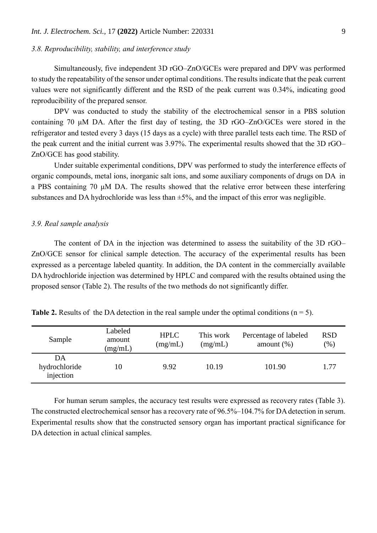# *3.8. Reproducibility, stability, and interference study*

Simultaneously, five independent 3D rGO–ZnO/GCEs were prepared and DPV was performed to study the repeatability of the sensor under optimal conditions. The results indicate that the peak current values were not significantly different and the RSD of the peak current was 0.34%, indicating good reproducibility of the prepared sensor.

DPV was conducted to study the stability of the electrochemical sensor in a PBS solution containing 70 μM DA. After the first day of testing, the 3D rGO–ZnO/GCEs were stored in the refrigerator and tested every 3 days (15 days as a cycle) with three parallel tests each time. The RSD of the peak current and the initial current was 3.97%. The experimental results showed that the 3D rGO– ZnO/GCE has good stability.

Under suitable experimental conditions, DPV was performed to study the interference effects of organic compounds, metal ions, inorganic salt ions, and some auxiliary components of drugs on DA in a PBS containing 70 μM DA. The results showed that the relative error between these interfering substances and DA hydrochloride was less than  $\pm$ 5%, and the impact of this error was negligible.

# *3.9. Real sample analysis*

The content of DA in the injection was determined to assess the suitability of the 3D rGO– ZnO/GCE sensor for clinical sample detection. The accuracy of the experimental results has been expressed as a percentage labeled quantity. In addition, the DA content in the commercially available DA hydrochloride injection was determined by HPLC and compared with the results obtained using the proposed sensor (Table 2). The results of the two methods do not significantly differ.

| Sample                           | Labeled<br>amount<br>(mg/mL) | <b>HPLC</b><br>(mg/mL) | This work<br>(mg/mL) | Percentage of labeled<br>amount $(\%)$ | <b>RSD</b><br>(96) |
|----------------------------------|------------------------------|------------------------|----------------------|----------------------------------------|--------------------|
| DA<br>hydrochloride<br>injection | 10                           | 9.92                   | 10.19                | 101.90                                 | 1.77               |

**Table 2.** Results of the DA detection in the real sample under the optimal conditions  $(n = 5)$ .

For human serum samples, the accuracy test results were expressed as recovery rates (Table 3). The constructed electrochemical sensor has a recovery rate of 96.5%–104.7% for DA detection in serum. Experimental results show that the constructed sensory organ has important practical significance for DA detection in actual clinical samples.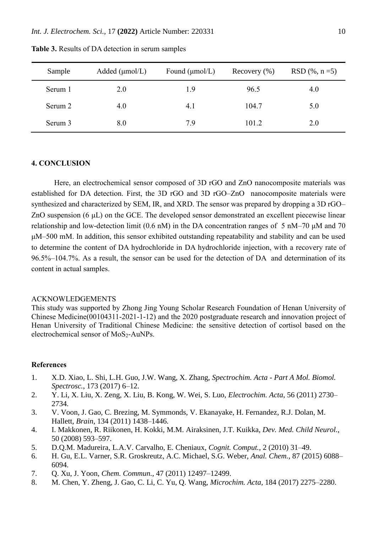| Sample  | Added $(\mu \text{mol/L})$ | Found $(\mu \text{mol/L})$ | Recovery $(\% )$ | $RSD$ (%, n = 5) |
|---------|----------------------------|----------------------------|------------------|------------------|
| Serum 1 | 2.0                        | 1.9                        | 96.5             | 4.0              |
| Serum 2 | 4.0                        | 4.1                        | 104.7            | 5.0              |
| Serum 3 | 8.0                        | 7.9                        | 101.2            | 2.0              |

**Table 3.** Results of DA detection in serum samples

## **4. CONCLUSION**

Here, an electrochemical sensor composed of 3D rGO and ZnO nanocomposite materials was established for DA detection. First, the 3D rGO and 3D rGO–ZnO nanocomposite materials were synthesized and characterized by SEM, IR, and XRD. The sensor was prepared by dropping a 3D rGO– ZnO suspension (6 μL) on the GCE. The developed sensor demonstrated an excellent piecewise linear relationship and low-detection limit (0.6 nM) in the DA concentration ranges of 5 nM–70 μM and 70 μM–500 mM. In addition, this sensor exhibited outstanding repeatability and stability and can be used to determine the content of DA hydrochloride in DA hydrochloride injection, with a recovery rate of 96.5%–104.7%. As a result, the sensor can be used for the detection of DA and determination of its content in actual samples.

#### ACKNOWLEDGEMENTS

This study was supported by Zhong Jing Young Scholar Research Foundation of Henan University of Chinese Medicine(00104311-2021-1-12) and the 2020 postgraduate research and innovation project of Henan University of Traditional Chinese Medicine: the sensitive detection of cortisol based on the electrochemical sensor of MoS<sub>2</sub>-AuNPs.

# **References**

- 1. X.D. Xiao, L. Shi, L.H. Guo, J.W. Wang, X. Zhang, *Spectrochim. Acta - Part A Mol. Biomol. Spectrosc.*, 173 (2017) 6–12.
- 2. Y. Li, X. Liu, X. Zeng, X. Liu, B. Kong, W. Wei, S. Luo, *Electrochim. Acta*, 56 (2011) 2730– 2734.
- 3. V. Voon, J. Gao, C. Brezing, M. Symmonds, V. Ekanayake, H. Fernandez, R.J. Dolan, M. Hallett, *Brain*, 134 (2011) 1438–1446.
- 4. I. Makkonen, R. Riikonen, H. Kokki, M.M. Airaksinen, J.T. Kuikka, *Dev. Med. Child Neurol.*, 50 (2008) 593–597.
- 5. D.Q.M. Madureira, L.A.V. Carvalho, E. Cheniaux, *Cognit. Comput.*, 2 (2010) 31–49.
- 6. H. Gu, E.L. Varner, S.R. Groskreutz, A.C. Michael, S.G. Weber, *Anal. Chem.*, 87 (2015) 6088– 6094.
- 7. Q. Xu, J. Yoon, *Chem. Commun.*, 47 (2011) 12497–12499.
- 8. M. Chen, Y. Zheng, J. Gao, C. Li, C. Yu, Q. Wang, *Microchim. Acta*, 184 (2017) 2275–2280.